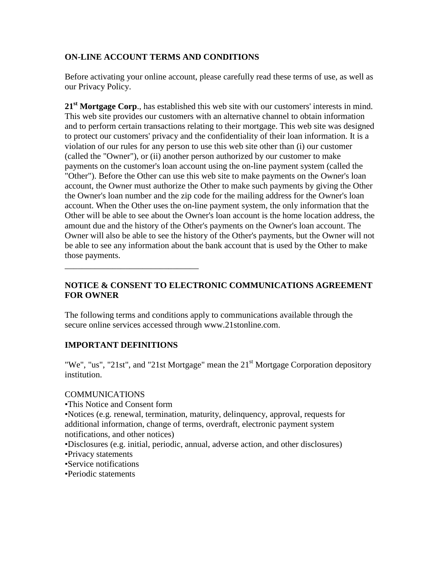# **ON-LINE ACCOUNT TERMS AND CONDITIONS**

Before activating your online account, please carefully read these terms of use, as well as our Privacy Policy.

21<sup>st</sup> Mortgage Corp., has established this web site with our customers' interests in mind. This web site provides our customers with an alternative channel to obtain information and to perform certain transactions relating to their mortgage. This web site was designed to protect our customers' privacy and the confidentiality of their loan information. It is a violation of our rules for any person to use this web site other than (i) our customer (called the "Owner"), or (ii) another person authorized by our customer to make payments on the customer's loan account using the on-line payment system (called the "Other"). Before the Other can use this web site to make payments on the Owner's loan account, the Owner must authorize the Other to make such payments by giving the Other the Owner's loan number and the zip code for the mailing address for the Owner's loan account. When the Other uses the on-line payment system, the only information that the Other will be able to see about the Owner's loan account is the home location address, the amount due and the history of the Other's payments on the Owner's loan account. The Owner will also be able to see the history of the Other's payments, but the Owner will not be able to see any information about the bank account that is used by the Other to make those payments.

# **NOTICE & CONSENT TO ELECTRONIC COMMUNICATIONS AGREEMENT FOR OWNER**

The following terms and conditions apply to communications available through the secure online services accessed through www.21stonline.com.

# **IMPORTANT DEFINITIONS**

\_\_\_\_\_\_\_\_\_\_\_\_\_\_\_\_\_\_\_\_\_\_\_\_\_\_\_\_\_\_\_

"We", "us", "21st", and "21st Mortgage" mean the  $21<sup>st</sup>$  Mortgage Corporation depository institution.

#### **COMMUNICATIONS**

•This Notice and Consent form

•Notices (e.g. renewal, termination, maturity, delinquency, approval, requests for additional information, change of terms, overdraft, electronic payment system notifications, and other notices)

•Disclosures (e.g. initial, periodic, annual, adverse action, and other disclosures) •Privacy statements

•Service notifications

•Periodic statements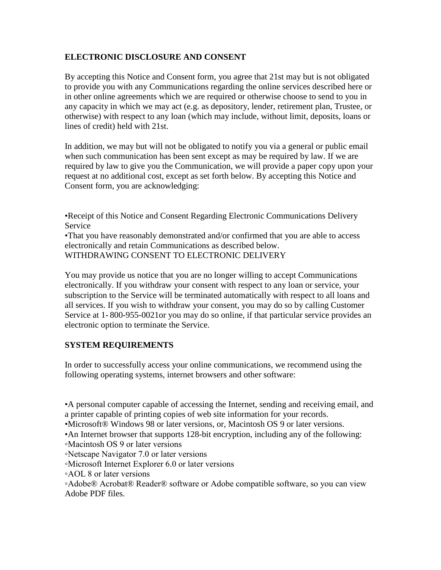# **ELECTRONIC DISCLOSURE AND CONSENT**

By accepting this Notice and Consent form, you agree that 21st may but is not obligated to provide you with any Communications regarding the online services described here or in other online agreements which we are required or otherwise choose to send to you in any capacity in which we may act (e.g. as depository, lender, retirement plan, Trustee, or otherwise) with respect to any loan (which may include, without limit, deposits, loans or lines of credit) held with 21st.

In addition, we may but will not be obligated to notify you via a general or public email when such communication has been sent except as may be required by law. If we are required by law to give you the Communication, we will provide a paper copy upon your request at no additional cost, except as set forth below. By accepting this Notice and Consent form, you are acknowledging:

•Receipt of this Notice and Consent Regarding Electronic Communications Delivery Service

•That you have reasonably demonstrated and/or confirmed that you are able to access electronically and retain Communications as described below. WITHDRAWING CONSENT TO ELECTRONIC DELIVERY

You may provide us notice that you are no longer willing to accept Communications electronically. If you withdraw your consent with respect to any loan or service, your subscription to the Service will be terminated automatically with respect to all loans and all services. If you wish to withdraw your consent, you may do so by calling Customer Service at 1- 800-955-0021or you may do so online, if that particular service provides an electronic option to terminate the Service.

# **SYSTEM REQUIREMENTS**

In order to successfully access your online communications, we recommend using the following operating systems, internet browsers and other software:

•A personal computer capable of accessing the Internet, sending and receiving email, and a printer capable of printing copies of web site information for your records.

•Microsoft® Windows 98 or later versions, or, Macintosh OS 9 or later versions.

•An Internet browser that supports 128-bit encryption, including any of the following:

- ◦Macintosh OS 9 or later versions
- ◦Netscape Navigator 7.0 or later versions
- ◦Microsoft Internet Explorer 6.0 or later versions
- ◦AOL 8 or later versions

◦Adobe® Acrobat® Reader® software or Adobe compatible software, so you can view Adobe PDF files.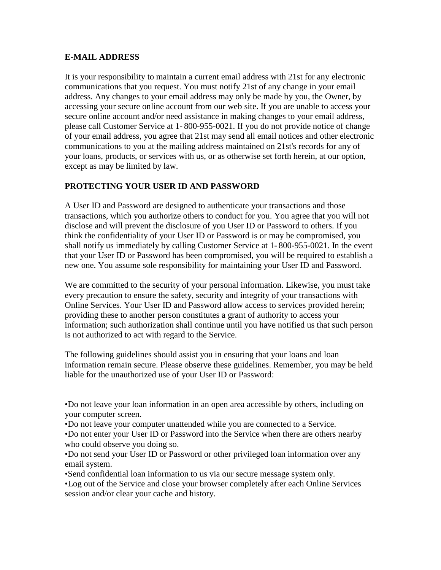# **E-MAIL ADDRESS**

It is your responsibility to maintain a current email address with 21st for any electronic communications that you request. You must notify 21st of any change in your email address. Any changes to your email address may only be made by you, the Owner, by accessing your secure online account from our web site. If you are unable to access your secure online account and/or need assistance in making changes to your email address, please call Customer Service at 1- 800-955-0021. If you do not provide notice of change of your email address, you agree that 21st may send all email notices and other electronic communications to you at the mailing address maintained on 21st's records for any of your loans, products, or services with us, or as otherwise set forth herein, at our option, except as may be limited by law.

# **PROTECTING YOUR USER ID AND PASSWORD**

A User ID and Password are designed to authenticate your transactions and those transactions, which you authorize others to conduct for you. You agree that you will not disclose and will prevent the disclosure of you User ID or Password to others. If you think the confidentiality of your User ID or Password is or may be compromised, you shall notify us immediately by calling Customer Service at 1- 800-955-0021. In the event that your User ID or Password has been compromised, you will be required to establish a new one. You assume sole responsibility for maintaining your User ID and Password.

We are committed to the security of your personal information. Likewise, you must take every precaution to ensure the safety, security and integrity of your transactions with Online Services. Your User ID and Password allow access to services provided herein; providing these to another person constitutes a grant of authority to access your information; such authorization shall continue until you have notified us that such person is not authorized to act with regard to the Service.

The following guidelines should assist you in ensuring that your loans and loan information remain secure. Please observe these guidelines. Remember, you may be held liable for the unauthorized use of your User ID or Password:

•Do not leave your loan information in an open area accessible by others, including on your computer screen.

•Do not leave your computer unattended while you are connected to a Service.

•Do not enter your User ID or Password into the Service when there are others nearby who could observe you doing so.

•Do not send your User ID or Password or other privileged loan information over any email system.

•Send confidential loan information to us via our secure message system only.

•Log out of the Service and close your browser completely after each Online Services session and/or clear your cache and history.